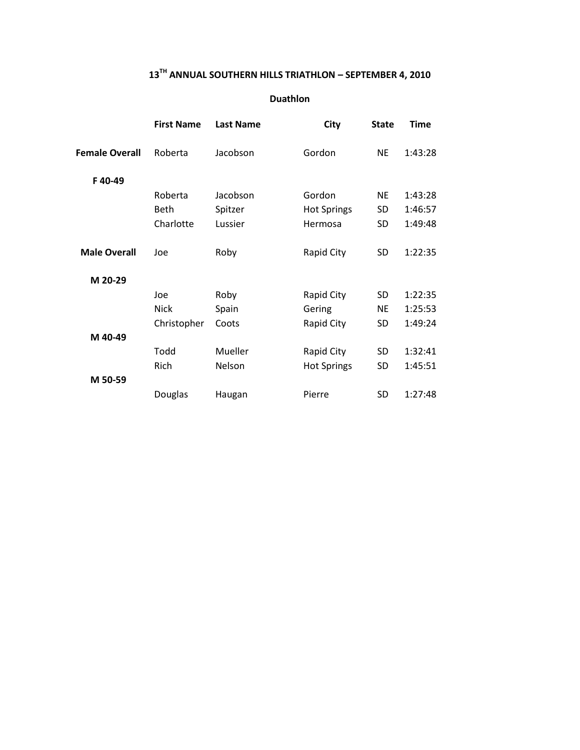#### **13 TH ANNUAL SOUTHERN HILLS TRIATHLON – SEPTEMBER 4, 2010**

#### **Duathlon**

| <b>First Name</b> | <b>Last Name</b> | City               | <b>State</b> | <b>Time</b> |
|-------------------|------------------|--------------------|--------------|-------------|
| Roberta           | Jacobson         | Gordon             | <b>NE</b>    | 1:43:28     |
|                   |                  |                    |              |             |
| Roberta           | Jacobson         | Gordon             | NE.          | 1:43:28     |
| Beth              | Spitzer          | <b>Hot Springs</b> | SD           | 1:46:57     |
| Charlotte         | Lussier          | Hermosa            | SD           | 1:49:48     |
| Joe               | Roby             | Rapid City         | SD           | 1:22:35     |
|                   |                  |                    |              |             |
| Joe               | Roby             | Rapid City         | SD           | 1:22:35     |
| <b>Nick</b>       | Spain            | Gering             | NE           | 1:25:53     |
| Christopher       | Coots            | Rapid City         | SD           | 1:49:24     |
|                   |                  |                    |              |             |
| Todd              | Mueller          | Rapid City         | SD           | 1:32:41     |
| Rich              | Nelson           | <b>Hot Springs</b> | SD           | 1:45:51     |
|                   |                  |                    |              |             |
| Douglas           | Haugan           | Pierre             | SD           | 1:27:48     |
|                   |                  |                    |              |             |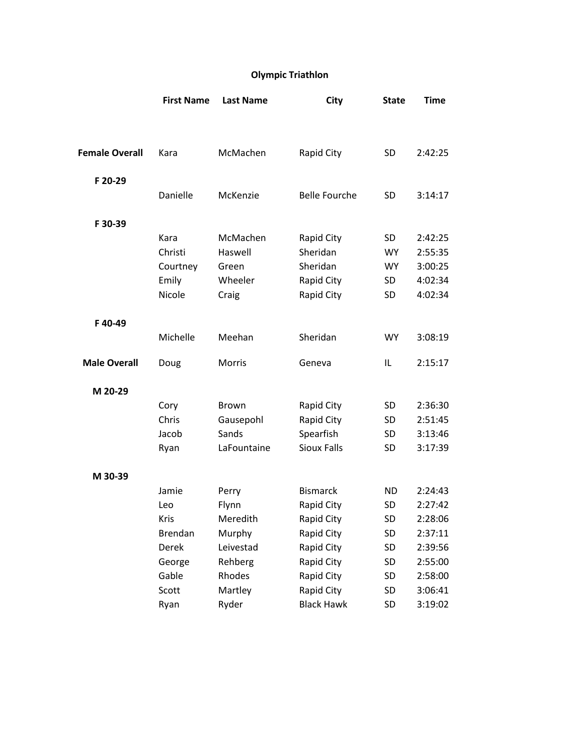# **Olympic Triathlon**

| <b>Female Overall</b><br>McMachen<br>Kara<br>Rapid City<br>SD<br>2:42:25<br>F 20-29<br>Danielle<br><b>Belle Fourche</b><br>McKenzie<br>SD<br>3:14:17<br>F 30-39<br>McMachen<br>Kara<br>Rapid City<br>SD<br>2:42:25<br>Christi<br>Haswell<br>Sheridan<br><b>WY</b><br>2:55:35<br>Sheridan<br>3:00:25<br>Courtney<br>Green<br><b>WY</b><br>Emily<br>Wheeler<br>Rapid City<br>SD<br>4:02:34<br>Nicole<br>Rapid City<br>Craig<br><b>SD</b><br>4:02:34<br>F40-49<br>Michelle<br>Sheridan<br>Meehan<br><b>WY</b><br>3:08:19<br><b>Male Overall</b><br>Doug<br>Morris<br>Geneva<br>IL<br>2:15:17 |
|-------------------------------------------------------------------------------------------------------------------------------------------------------------------------------------------------------------------------------------------------------------------------------------------------------------------------------------------------------------------------------------------------------------------------------------------------------------------------------------------------------------------------------------------------------------------------------------------|
|                                                                                                                                                                                                                                                                                                                                                                                                                                                                                                                                                                                           |
|                                                                                                                                                                                                                                                                                                                                                                                                                                                                                                                                                                                           |
|                                                                                                                                                                                                                                                                                                                                                                                                                                                                                                                                                                                           |
|                                                                                                                                                                                                                                                                                                                                                                                                                                                                                                                                                                                           |
|                                                                                                                                                                                                                                                                                                                                                                                                                                                                                                                                                                                           |
|                                                                                                                                                                                                                                                                                                                                                                                                                                                                                                                                                                                           |
|                                                                                                                                                                                                                                                                                                                                                                                                                                                                                                                                                                                           |
|                                                                                                                                                                                                                                                                                                                                                                                                                                                                                                                                                                                           |
|                                                                                                                                                                                                                                                                                                                                                                                                                                                                                                                                                                                           |
|                                                                                                                                                                                                                                                                                                                                                                                                                                                                                                                                                                                           |
|                                                                                                                                                                                                                                                                                                                                                                                                                                                                                                                                                                                           |
|                                                                                                                                                                                                                                                                                                                                                                                                                                                                                                                                                                                           |
|                                                                                                                                                                                                                                                                                                                                                                                                                                                                                                                                                                                           |
|                                                                                                                                                                                                                                                                                                                                                                                                                                                                                                                                                                                           |
|                                                                                                                                                                                                                                                                                                                                                                                                                                                                                                                                                                                           |
| M 20-29                                                                                                                                                                                                                                                                                                                                                                                                                                                                                                                                                                                   |
| Brown<br>Rapid City<br>SD<br>2:36:30<br>Cory                                                                                                                                                                                                                                                                                                                                                                                                                                                                                                                                              |
| Chris<br>Rapid City<br>Gausepohl<br><b>SD</b><br>2:51:45                                                                                                                                                                                                                                                                                                                                                                                                                                                                                                                                  |
| Spearfish<br>Jacob<br>Sands<br>SD<br>3:13:46                                                                                                                                                                                                                                                                                                                                                                                                                                                                                                                                              |
| <b>Sioux Falls</b><br>3:17:39<br>Ryan<br>LaFountaine<br><b>SD</b>                                                                                                                                                                                                                                                                                                                                                                                                                                                                                                                         |
| M 30-39                                                                                                                                                                                                                                                                                                                                                                                                                                                                                                                                                                                   |
| <b>Bismarck</b><br><b>ND</b><br>Jamie<br>Perry<br>2:24:43                                                                                                                                                                                                                                                                                                                                                                                                                                                                                                                                 |
| Flynn<br>Rapid City<br><b>SD</b><br>2:27:42<br>Leo                                                                                                                                                                                                                                                                                                                                                                                                                                                                                                                                        |
| Kris<br>Meredith<br>Rapid City<br>SD<br>2:28:06                                                                                                                                                                                                                                                                                                                                                                                                                                                                                                                                           |
| SD<br>Brendan<br>Murphy<br>Rapid City<br>2:37:11                                                                                                                                                                                                                                                                                                                                                                                                                                                                                                                                          |
| <b>Derek</b><br>Leivestad<br>Rapid City<br>SD<br>2:39:56                                                                                                                                                                                                                                                                                                                                                                                                                                                                                                                                  |
| Rehberg<br>Rapid City<br>George<br>SD<br>2:55:00                                                                                                                                                                                                                                                                                                                                                                                                                                                                                                                                          |
| Rhodes<br>Gable<br>Rapid City<br>SD<br>2:58:00                                                                                                                                                                                                                                                                                                                                                                                                                                                                                                                                            |
| Scott<br>Martley<br>Rapid City<br>SD<br>3:06:41                                                                                                                                                                                                                                                                                                                                                                                                                                                                                                                                           |
| <b>Black Hawk</b><br>Ryder<br>SD<br>Ryan<br>3:19:02                                                                                                                                                                                                                                                                                                                                                                                                                                                                                                                                       |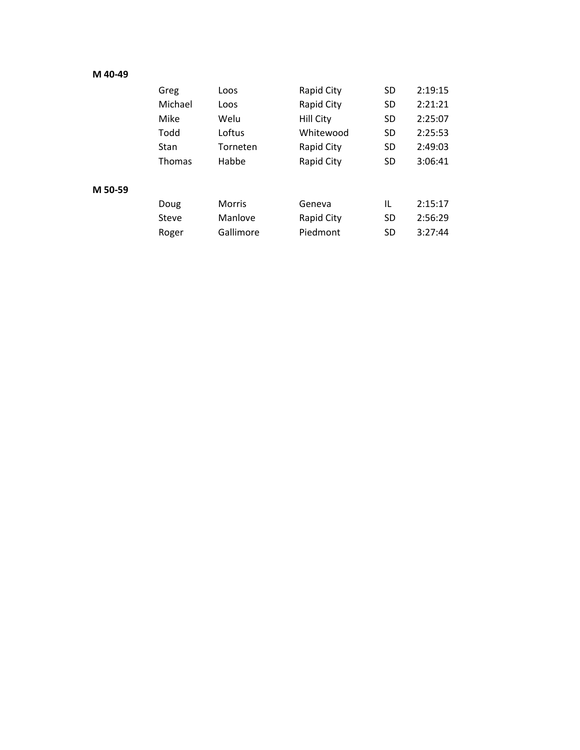## **M 40-49**

**M** 

|       | Greg          | Loos          | Rapid City        | <b>SD</b> | 2:19:15 |
|-------|---------------|---------------|-------------------|-----------|---------|
|       | Michael       | Loos          | Rapid City        | <b>SD</b> | 2:21:21 |
|       | Mike          | Welu          | <b>Hill City</b>  | <b>SD</b> | 2:25:07 |
|       | Todd          | Loftus        | Whitewood         | <b>SD</b> | 2:25:53 |
|       | Stan          | Torneten      | <b>Rapid City</b> | <b>SD</b> | 2:49:03 |
|       | <b>Thomas</b> | Habbe         | <b>Rapid City</b> | <b>SD</b> | 3:06:41 |
|       |               |               |                   |           |         |
| 50-59 |               |               |                   |           |         |
|       | Doug          | <b>Morris</b> | Geneva            | IL        | 2:15:17 |
|       | <b>Steve</b>  | Manlove       | Rapid City        | SD        | 2:56:29 |
|       | Roger         | Gallimore     | Piedmont          | SD        | 3:27:44 |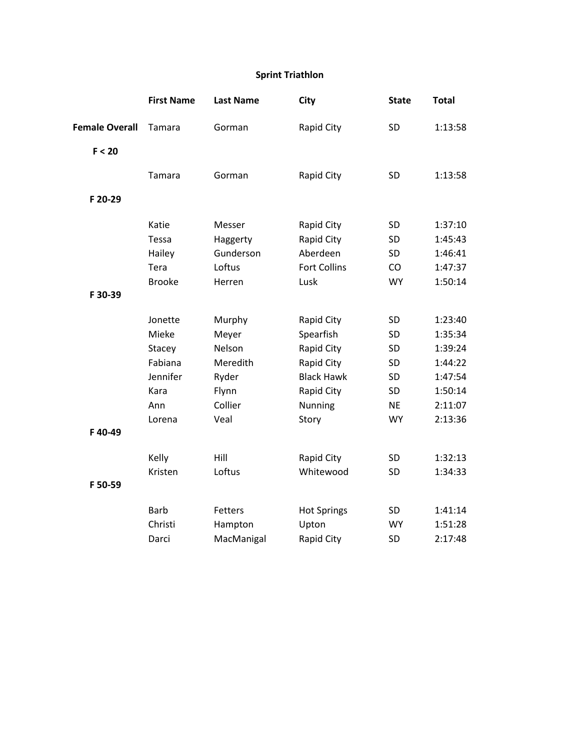# **Sprint Triathlon**

|                       | <b>First Name</b> | <b>Last Name</b> | City                | <b>State</b> | <b>Total</b> |
|-----------------------|-------------------|------------------|---------------------|--------------|--------------|
| <b>Female Overall</b> | Tamara            | Gorman           | Rapid City          | SD           | 1:13:58      |
| F < 20                |                   |                  |                     |              |              |
|                       | Tamara            | Gorman           | Rapid City          | SD           | 1:13:58      |
| F 20-29               |                   |                  |                     |              |              |
|                       | Katie             | Messer           | Rapid City          | <b>SD</b>    | 1:37:10      |
|                       | Tessa             | Haggerty         | Rapid City          | SD           | 1:45:43      |
|                       | Hailey            | Gunderson        | Aberdeen            | SD           | 1:46:41      |
|                       | Tera              | Loftus           | <b>Fort Collins</b> | CO           | 1:47:37      |
|                       | <b>Brooke</b>     | Herren           | Lusk                | <b>WY</b>    | 1:50:14      |
| F 30-39               |                   |                  |                     |              |              |
|                       | Jonette           | Murphy           | Rapid City          | <b>SD</b>    | 1:23:40      |
|                       | Mieke             | Meyer            | Spearfish           | <b>SD</b>    | 1:35:34      |
|                       | Stacey            | Nelson           | Rapid City          | SD           | 1:39:24      |
|                       | Fabiana           | Meredith         | Rapid City          | SD           | 1:44:22      |
|                       | Jennifer          | Ryder            | <b>Black Hawk</b>   | SD           | 1:47:54      |
|                       | Kara              | Flynn            | Rapid City          | SD           | 1:50:14      |
|                       | Ann               | Collier          | Nunning             | <b>NE</b>    | 2:11:07      |
|                       | Lorena            | Veal             | Story               | <b>WY</b>    | 2:13:36      |
| F40-49                |                   |                  |                     |              |              |
|                       | Kelly             | Hill             | Rapid City          | <b>SD</b>    | 1:32:13      |
|                       | Kristen           | Loftus           | Whitewood           | SD           | 1:34:33      |
| F 50-59               |                   |                  |                     |              |              |
|                       | <b>Barb</b>       | <b>Fetters</b>   | <b>Hot Springs</b>  | SD           | 1:41:14      |
|                       | Christi           | Hampton          | Upton               | <b>WY</b>    | 1:51:28      |
|                       | Darci             | MacManigal       | Rapid City          | <b>SD</b>    | 2:17:48      |
|                       |                   |                  |                     |              |              |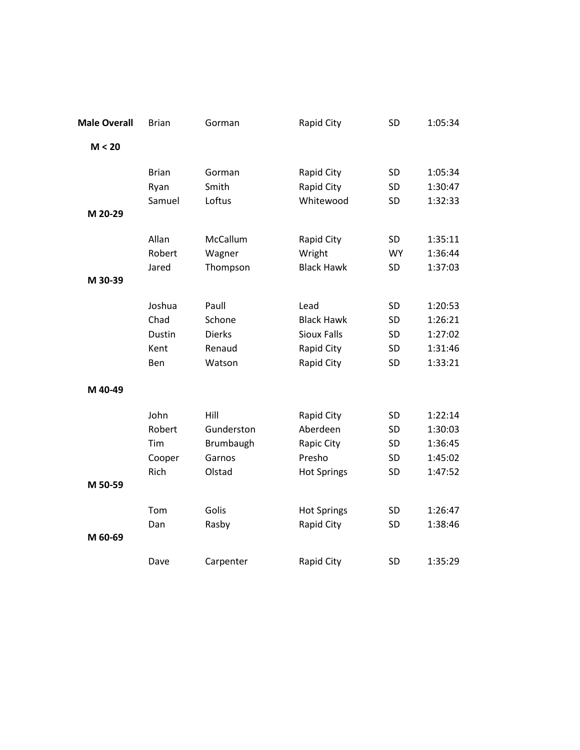| <b>Male Overall</b> | <b>Brian</b> | Gorman        | Rapid City         | SD        | 1:05:34 |
|---------------------|--------------|---------------|--------------------|-----------|---------|
| M < 20              |              |               |                    |           |         |
|                     | <b>Brian</b> | Gorman        | Rapid City         | SD        | 1:05:34 |
|                     | Ryan         | Smith         | Rapid City         | SD        | 1:30:47 |
| M 20-29             | Samuel       | Loftus        | Whitewood          | SD        | 1:32:33 |
|                     | Allan        | McCallum      | Rapid City         | SD        | 1:35:11 |
|                     | Robert       | Wagner        | Wright             | <b>WY</b> | 1:36:44 |
|                     | Jared        | Thompson      | <b>Black Hawk</b>  | SD        | 1:37:03 |
| M 30-39             |              |               |                    |           |         |
|                     | Joshua       | Paull         | Lead               | SD        | 1:20:53 |
|                     | Chad         | Schone        | <b>Black Hawk</b>  | SD        | 1:26:21 |
|                     | Dustin       | <b>Dierks</b> | <b>Sioux Falls</b> | SD        | 1:27:02 |
|                     | Kent         | Renaud        | Rapid City         | SD        | 1:31:46 |
|                     | Ben          | Watson        | Rapid City         | SD        | 1:33:21 |
| M 40-49             |              |               |                    |           |         |
|                     | John         | Hill          | Rapid City         | SD        | 1:22:14 |
|                     | Robert       | Gunderston    | Aberdeen           | SD        | 1:30:03 |
|                     | Tim          | Brumbaugh     | Rapic City         | SD        | 1:36:45 |
|                     | Cooper       | Garnos        | Presho             | SD        | 1:45:02 |
|                     | Rich         | Olstad        | <b>Hot Springs</b> | SD        | 1:47:52 |
| M 50-59             |              |               |                    |           |         |
|                     | Tom          | Golis         | <b>Hot Springs</b> | SD        | 1:26:47 |
| M 60-69             | Dan          | Rasby         | Rapid City         | SD        | 1:38:46 |
|                     | Dave         | Carpenter     | Rapid City         | SD        | 1:35:29 |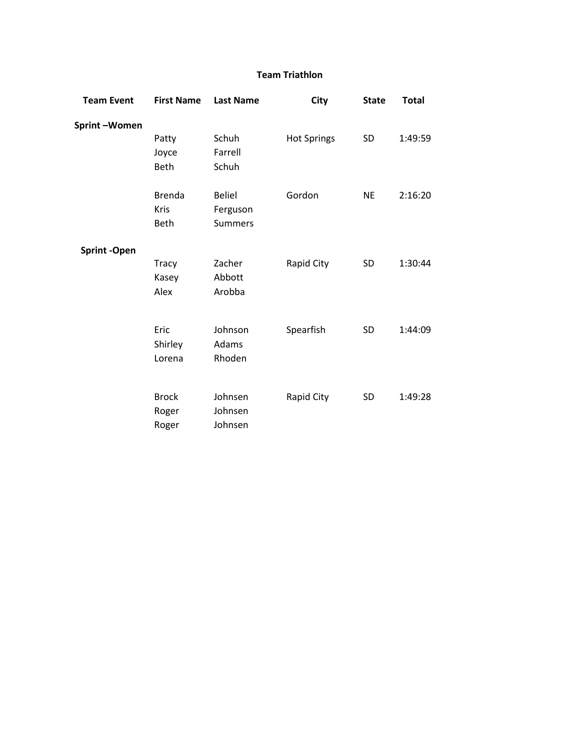## **Team Triathlon**

| <b>Team Event</b>   | <b>First Name</b> | <b>Last Name</b> | <b>City</b>        | <b>State</b> | <b>Total</b> |
|---------------------|-------------------|------------------|--------------------|--------------|--------------|
| Sprint-Women        |                   |                  |                    |              |              |
|                     | Patty             | Schuh            | <b>Hot Springs</b> | SD           | 1:49:59      |
|                     | Joyce             | Farrell          |                    |              |              |
|                     | Beth              | Schuh            |                    |              |              |
|                     | <b>Brenda</b>     | <b>Beliel</b>    | Gordon             | <b>NE</b>    | 2:16:20      |
|                     | Kris              | Ferguson         |                    |              |              |
|                     | <b>Beth</b>       | <b>Summers</b>   |                    |              |              |
| <b>Sprint -Open</b> |                   |                  |                    |              |              |
|                     | <b>Tracy</b>      | Zacher           | Rapid City         | SD           | 1:30:44      |
|                     | Kasey             | Abbott           |                    |              |              |
|                     | Alex              | Arobba           |                    |              |              |
|                     |                   |                  |                    |              |              |
|                     | Eric              | Johnson          | Spearfish          | SD           | 1:44:09      |
|                     | Shirley           | Adams            |                    |              |              |
|                     | Lorena            | Rhoden           |                    |              |              |
|                     | <b>Brock</b>      | Johnsen          | Rapid City         | SD           | 1:49:28      |
|                     | Roger             | Johnsen          |                    |              |              |
|                     | Roger             | Johnsen          |                    |              |              |
|                     |                   |                  |                    |              |              |